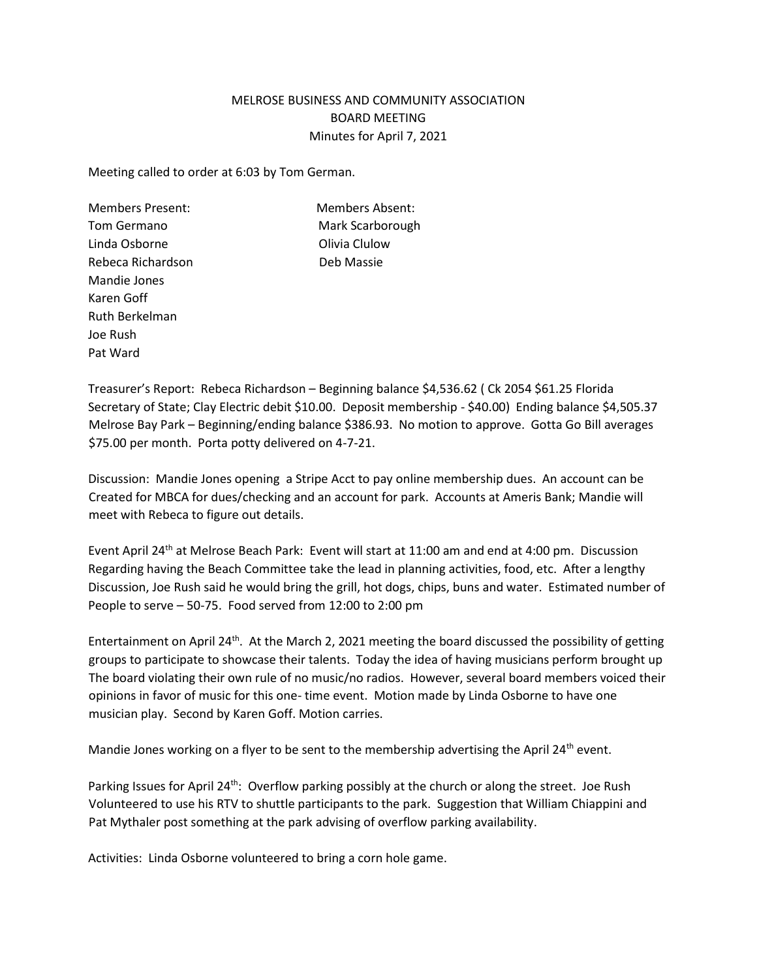## MELROSE BUSINESS AND COMMUNITY ASSOCIATION BOARD MEETING Minutes for April 7, 2021

Meeting called to order at 6:03 by Tom German.

Members Present: Members Absent: Tom Germano **Mark Scarborough** Linda Osborne **Calculow** Olivia Clulow Rebeca Richardson **Deb Massie** Mandie Jones Karen Goff Ruth Berkelman Joe Rush Pat Ward

Treasurer's Report: Rebeca Richardson – Beginning balance \$4,536.62 ( Ck 2054 \$61.25 Florida Secretary of State; Clay Electric debit \$10.00. Deposit membership - \$40.00) Ending balance \$4,505.37 Melrose Bay Park – Beginning/ending balance \$386.93. No motion to approve. Gotta Go Bill averages \$75.00 per month. Porta potty delivered on 4-7-21.

Discussion: Mandie Jones opening a Stripe Acct to pay online membership dues. An account can be Created for MBCA for dues/checking and an account for park. Accounts at Ameris Bank; Mandie will meet with Rebeca to figure out details.

Event April 24<sup>th</sup> at Melrose Beach Park: Event will start at 11:00 am and end at 4:00 pm. Discussion Regarding having the Beach Committee take the lead in planning activities, food, etc. After a lengthy Discussion, Joe Rush said he would bring the grill, hot dogs, chips, buns and water. Estimated number of People to serve – 50-75. Food served from 12:00 to 2:00 pm

Entertainment on April 24<sup>th</sup>. At the March 2, 2021 meeting the board discussed the possibility of getting groups to participate to showcase their talents. Today the idea of having musicians perform brought up The board violating their own rule of no music/no radios. However, several board members voiced their opinions in favor of music for this one- time event. Motion made by Linda Osborne to have one musician play. Second by Karen Goff. Motion carries.

Mandie Jones working on a flyer to be sent to the membership advertising the April 24<sup>th</sup> event.

Parking Issues for April 24<sup>th</sup>: Overflow parking possibly at the church or along the street. Joe Rush Volunteered to use his RTV to shuttle participants to the park. Suggestion that William Chiappini and Pat Mythaler post something at the park advising of overflow parking availability.

Activities: Linda Osborne volunteered to bring a corn hole game.